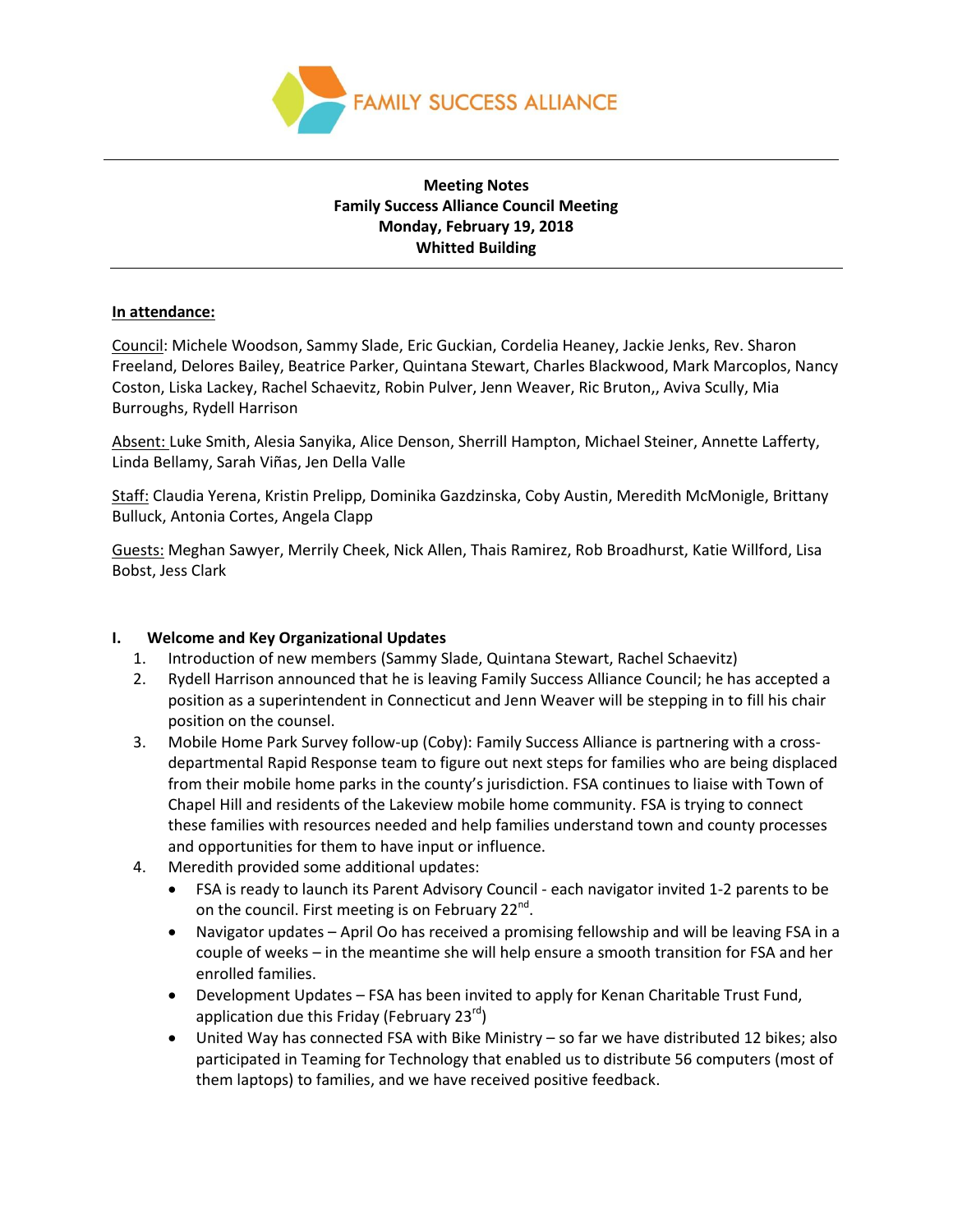

### **Meeting Notes Family Success Alliance Council Meeting Monday, February 19, 2018 Whitted Building**

### **In attendance:**

Council: Michele Woodson, Sammy Slade, Eric Guckian, Cordelia Heaney, Jackie Jenks, Rev. Sharon Freeland, Delores Bailey, Beatrice Parker, Quintana Stewart, Charles Blackwood, Mark Marcoplos, Nancy Coston, Liska Lackey, Rachel Schaevitz, Robin Pulver, Jenn Weaver, Ric Bruton,, Aviva Scully, Mia Burroughs, Rydell Harrison

Absent: Luke Smith, Alesia Sanyika, Alice Denson, Sherrill Hampton, Michael Steiner, Annette Lafferty, Linda Bellamy, Sarah Viñas, Jen Della Valle

Staff: Claudia Yerena, Kristin Prelipp, Dominika Gazdzinska, Coby Austin, Meredith McMonigle, Brittany Bulluck, Antonia Cortes, Angela Clapp

Guests: Meghan Sawyer, Merrily Cheek, Nick Allen, Thais Ramirez, Rob Broadhurst, Katie Willford, Lisa Bobst, Jess Clark

#### **I. Welcome and Key Organizational Updates**

- 1. Introduction of new members (Sammy Slade, Quintana Stewart, Rachel Schaevitz)
- 2. Rydell Harrison announced that he is leaving Family Success Alliance Council; he has accepted a position as a superintendent in Connecticut and Jenn Weaver will be stepping in to fill his chair position on the counsel.
- 3. Mobile Home Park Survey follow-up (Coby): Family Success Alliance is partnering with a crossdepartmental Rapid Response team to figure out next steps for families who are being displaced from their mobile home parks in the county's jurisdiction. FSA continues to liaise with Town of Chapel Hill and residents of the Lakeview mobile home community. FSA is trying to connect these families with resources needed and help families understand town and county processes and opportunities for them to have input or influence.
- 4. Meredith provided some additional updates:
	- FSA is ready to launch its Parent Advisory Council each navigator invited 1-2 parents to be on the council. First meeting is on February 22<sup>nd</sup>.
	- Navigator updates April Oo has received a promising fellowship and will be leaving FSA in a couple of weeks – in the meantime she will help ensure a smooth transition for FSA and her enrolled families.
	- Development Updates FSA has been invited to apply for Kenan Charitable Trust Fund, application due this Friday (February 23 $^{rd}$ )
	- United Way has connected FSA with Bike Ministry so far we have distributed 12 bikes; also participated in Teaming for Technology that enabled us to distribute 56 computers (most of them laptops) to families, and we have received positive feedback.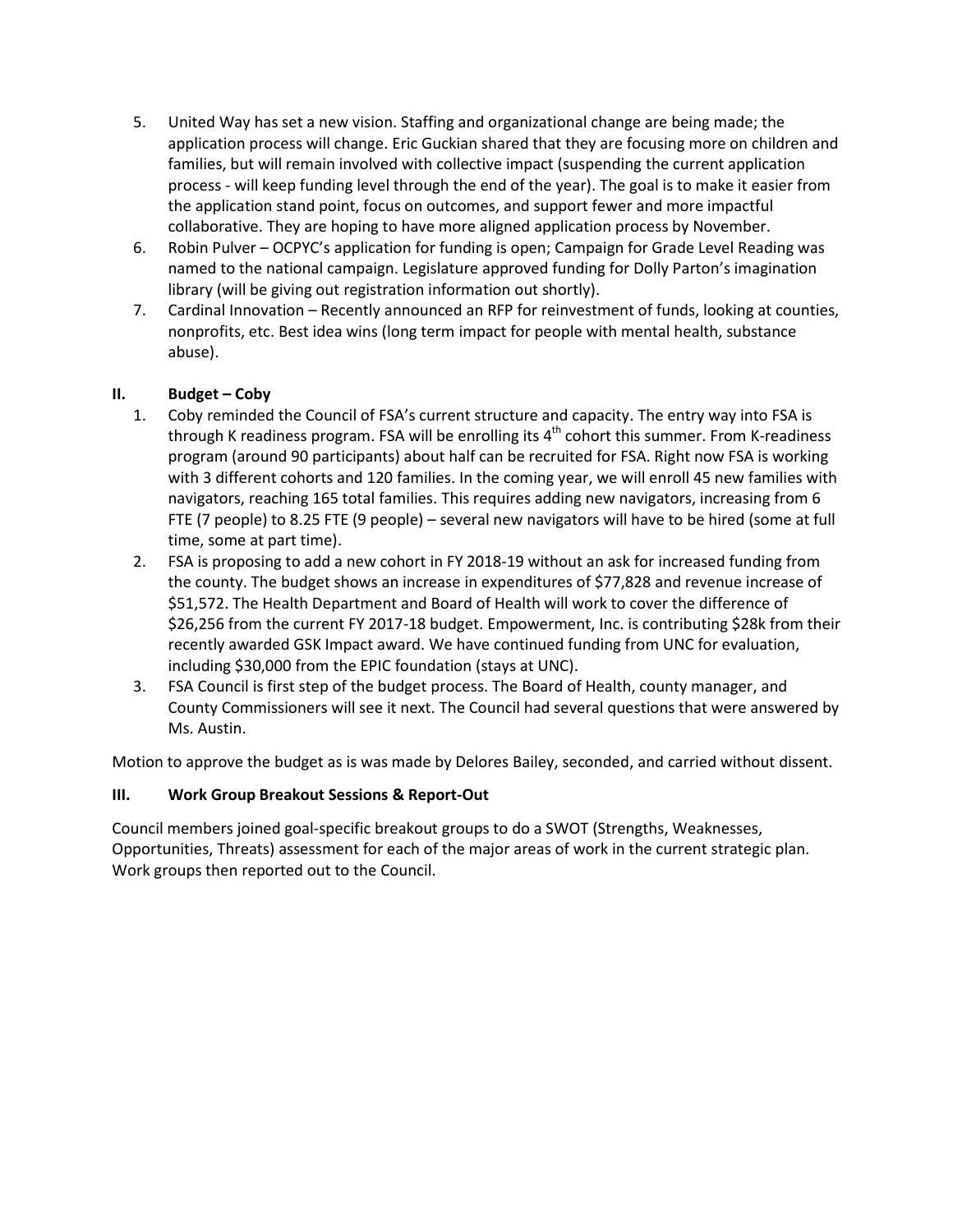- 5. United Way has set a new vision. Staffing and organizational change are being made; the application process will change. Eric Guckian shared that they are focusing more on children and families, but will remain involved with collective impact (suspending the current application process - will keep funding level through the end of the year). The goal is to make it easier from the application stand point, focus on outcomes, and support fewer and more impactful collaborative. They are hoping to have more aligned application process by November.
- 6. Robin Pulver OCPYC's application for funding is open; Campaign for Grade Level Reading was named to the national campaign. Legislature approved funding for Dolly Parton's imagination library (will be giving out registration information out shortly).
- 7. Cardinal Innovation Recently announced an RFP for reinvestment of funds, looking at counties, nonprofits, etc. Best idea wins (long term impact for people with mental health, substance abuse).

## **II. Budget – Coby**

- 1. Coby reminded the Council of FSA's current structure and capacity. The entry way into FSA is through K readiness program. FSA will be enrolling its  $4^{\text{th}}$  cohort this summer. From K-readiness program (around 90 participants) about half can be recruited for FSA. Right now FSA is working with 3 different cohorts and 120 families. In the coming year, we will enroll 45 new families with navigators, reaching 165 total families. This requires adding new navigators, increasing from 6 FTE (7 people) to 8.25 FTE (9 people) – several new navigators will have to be hired (some at full time, some at part time).
- 2. FSA is proposing to add a new cohort in FY 2018-19 without an ask for increased funding from the county. The budget shows an increase in expenditures of \$77,828 and revenue increase of \$51,572. The Health Department and Board of Health will work to cover the difference of \$26,256 from the current FY 2017-18 budget. Empowerment, Inc. is contributing \$28k from their recently awarded GSK Impact award. We have continued funding from UNC for evaluation, including \$30,000 from the EPIC foundation (stays at UNC).
- 3. FSA Council is first step of the budget process. The Board of Health, county manager, and County Commissioners will see it next. The Council had several questions that were answered by Ms. Austin.

Motion to approve the budget as is was made by Delores Bailey, seconded, and carried without dissent.

# **III. Work Group Breakout Sessions & Report-Out**

Council members joined goal-specific breakout groups to do a SWOT (Strengths, Weaknesses, Opportunities, Threats) assessment for each of the major areas of work in the current strategic plan. Work groups then reported out to the Council.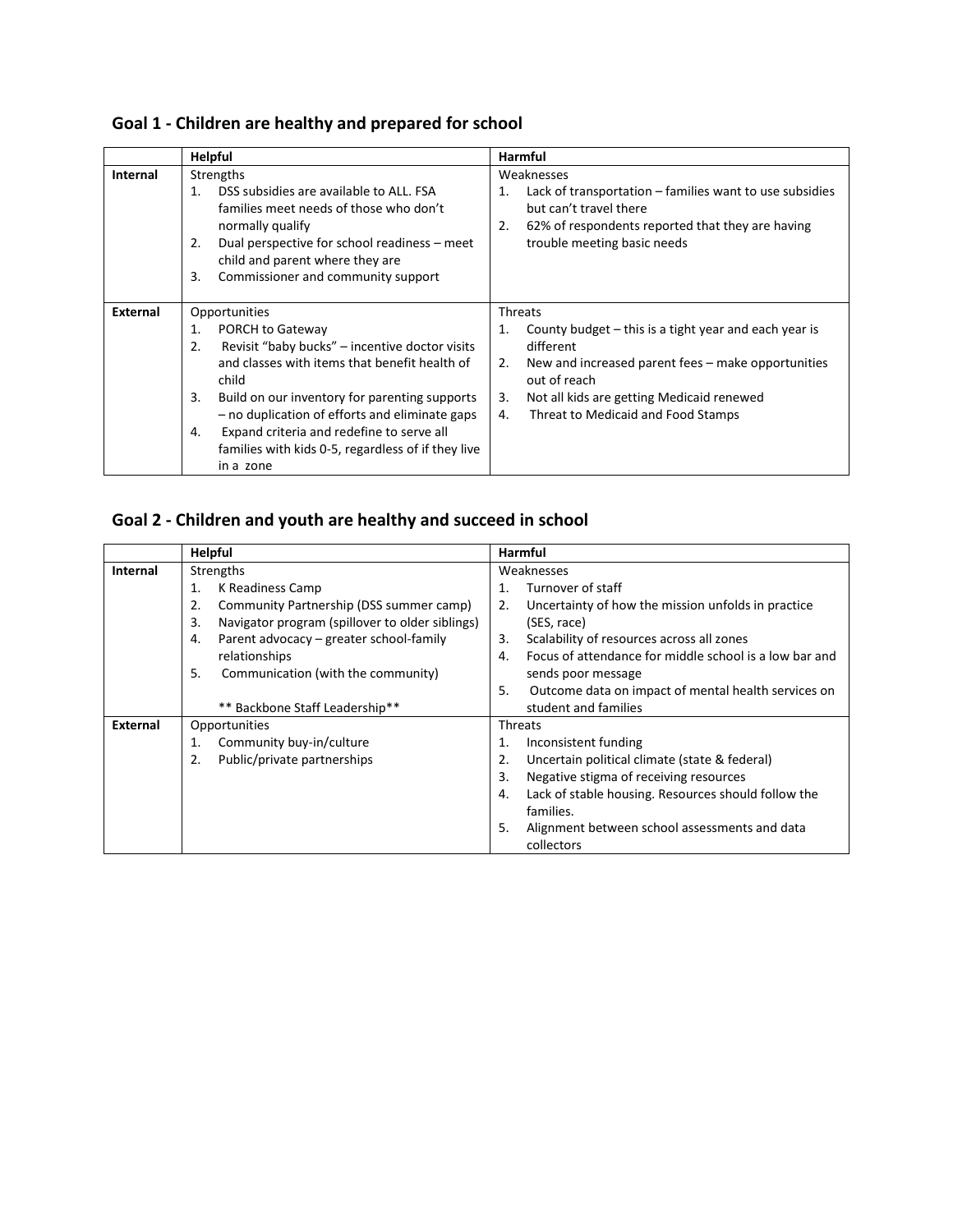| Goal 1 - Children are healthy and prepared for school |  |  |  |
|-------------------------------------------------------|--|--|--|
|-------------------------------------------------------|--|--|--|

|          | <b>Helpful</b>                                                                                                                                                                                                                                   | Harmful                                                                                                                                                                          |  |  |
|----------|--------------------------------------------------------------------------------------------------------------------------------------------------------------------------------------------------------------------------------------------------|----------------------------------------------------------------------------------------------------------------------------------------------------------------------------------|--|--|
| Internal | Strengths                                                                                                                                                                                                                                        | Weaknesses                                                                                                                                                                       |  |  |
|          | DSS subsidies are available to ALL. FSA<br>1.<br>families meet needs of those who don't<br>normally qualify<br>Dual perspective for school readiness – meet<br>2.<br>child and parent where they are<br>Commissioner and community support<br>3. | Lack of transportation – families want to use subsidies<br>1.<br>but can't travel there<br>62% of respondents reported that they are having<br>2.<br>trouble meeting basic needs |  |  |
| External | Opportunities                                                                                                                                                                                                                                    | <b>Threats</b>                                                                                                                                                                   |  |  |
|          | 1.<br>PORCH to Gateway                                                                                                                                                                                                                           | County budget - this is a tight year and each year is<br>1.                                                                                                                      |  |  |
|          | Revisit "baby bucks" – incentive doctor visits<br>2.                                                                                                                                                                                             | different                                                                                                                                                                        |  |  |
|          | and classes with items that benefit health of<br>child                                                                                                                                                                                           | New and increased parent fees – make opportunities<br>2.<br>out of reach                                                                                                         |  |  |
|          | Build on our inventory for parenting supports<br>3.                                                                                                                                                                                              | Not all kids are getting Medicaid renewed<br>3.                                                                                                                                  |  |  |
|          | - no duplication of efforts and eliminate gaps                                                                                                                                                                                                   | 4.<br>Threat to Medicaid and Food Stamps                                                                                                                                         |  |  |
|          | Expand criteria and redefine to serve all<br>4.                                                                                                                                                                                                  |                                                                                                                                                                                  |  |  |
|          | families with kids 0-5, regardless of if they live                                                                                                                                                                                               |                                                                                                                                                                                  |  |  |
|          | in a zone                                                                                                                                                                                                                                        |                                                                                                                                                                                  |  |  |

# **Goal 2 - Children and youth are healthy and succeed in school**

|          | <b>Helpful</b>                                        | <b>Harmful</b>                                                           |  |  |
|----------|-------------------------------------------------------|--------------------------------------------------------------------------|--|--|
| Internal | Strengths                                             | Weaknesses                                                               |  |  |
|          | K Readiness Camp<br>1.                                | Turnover of staff<br>1.                                                  |  |  |
|          | Community Partnership (DSS summer camp)<br>2.         | Uncertainty of how the mission unfolds in practice<br>2.                 |  |  |
|          | 3.<br>Navigator program (spillover to older siblings) | (SES, race)                                                              |  |  |
|          | Parent advocacy - greater school-family<br>4.         | Scalability of resources across all zones<br>3.                          |  |  |
|          | relationships                                         | Focus of attendance for middle school is a low bar and<br>$\mathbf{4}$ . |  |  |
|          | 5.<br>Communication (with the community)              | sends poor message                                                       |  |  |
|          |                                                       | 5.<br>Outcome data on impact of mental health services on                |  |  |
|          | ** Backbone Staff Leadership**                        | student and families                                                     |  |  |
| External | Opportunities                                         | Threats                                                                  |  |  |
|          | Community buy-in/culture<br>1.                        | Inconsistent funding<br>1.                                               |  |  |
|          | Public/private partnerships<br>2.                     | Uncertain political climate (state & federal)<br>2.                      |  |  |
|          |                                                       | 3.<br>Negative stigma of receiving resources                             |  |  |
|          |                                                       | Lack of stable housing. Resources should follow the<br>4.                |  |  |
|          |                                                       | families.                                                                |  |  |
|          |                                                       | 5.<br>Alignment between school assessments and data                      |  |  |
|          |                                                       | collectors                                                               |  |  |